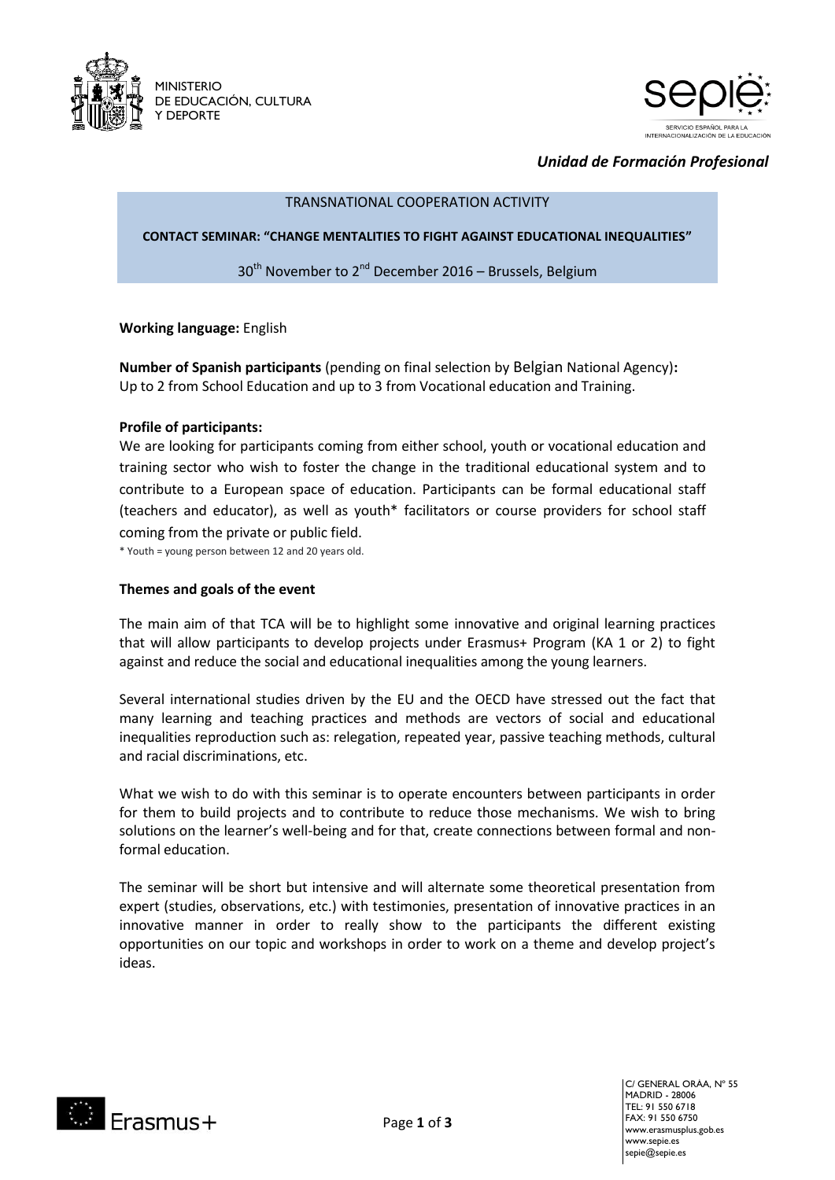



*Unidad de Formación Profesional*

# TRANSNATIONAL COOPERATION ACTIVITY

#### **CONTACT SEMINAR: "CHANGE MENTALITIES TO FIGHT AGAINST EDUCATIONAL INEQUALITIES"**

30<sup>th</sup> November to 2<sup>nd</sup> December 2016 - Brussels, Belgium

**Working language:** English

**Number of Spanish participants** (pending on final selection by Belgian National Agency)**:**  Up to 2 from School Education and up to 3 from Vocational education and Training.

### **Profile of participants:**

We are looking for participants coming from either school, youth or vocational education and training sector who wish to foster the change in the traditional educational system and to contribute to a European space of education. Participants can be formal educational staff (teachers and educator), as well as youth\* facilitators or course providers for school staff coming from the private or public field.

\* Youth = young person between 12 and 20 years old.

#### **Themes and goals of the event**

The main aim of that TCA will be to highlight some innovative and original learning practices that will allow participants to develop projects under Erasmus+ Program (KA 1 or 2) to fight against and reduce the social and educational inequalities among the young learners.

Several international studies driven by the EU and the OECD have stressed out the fact that many learning and teaching practices and methods are vectors of social and educational inequalities reproduction such as: relegation, repeated year, passive teaching methods, cultural and racial discriminations, etc.

What we wish to do with this seminar is to operate encounters between participants in order for them to build projects and to contribute to reduce those mechanisms. We wish to bring solutions on the learner's well-being and for that, create connections between formal and nonformal education.

The seminar will be short but intensive and will alternate some theoretical presentation from expert (studies, observations, etc.) with testimonies, presentation of innovative practices in an innovative manner in order to really show to the participants the different existing opportunities on our topic and workshops in order to work on a theme and develop project's ideas.



C/ GENERAL ORÁA, Nº 55 MADRID - 28006 TEL: 91 550 6718 FAX: 91 550 6750 www.erasmusplus.gob.es www.sepie.es sepie@sepie.es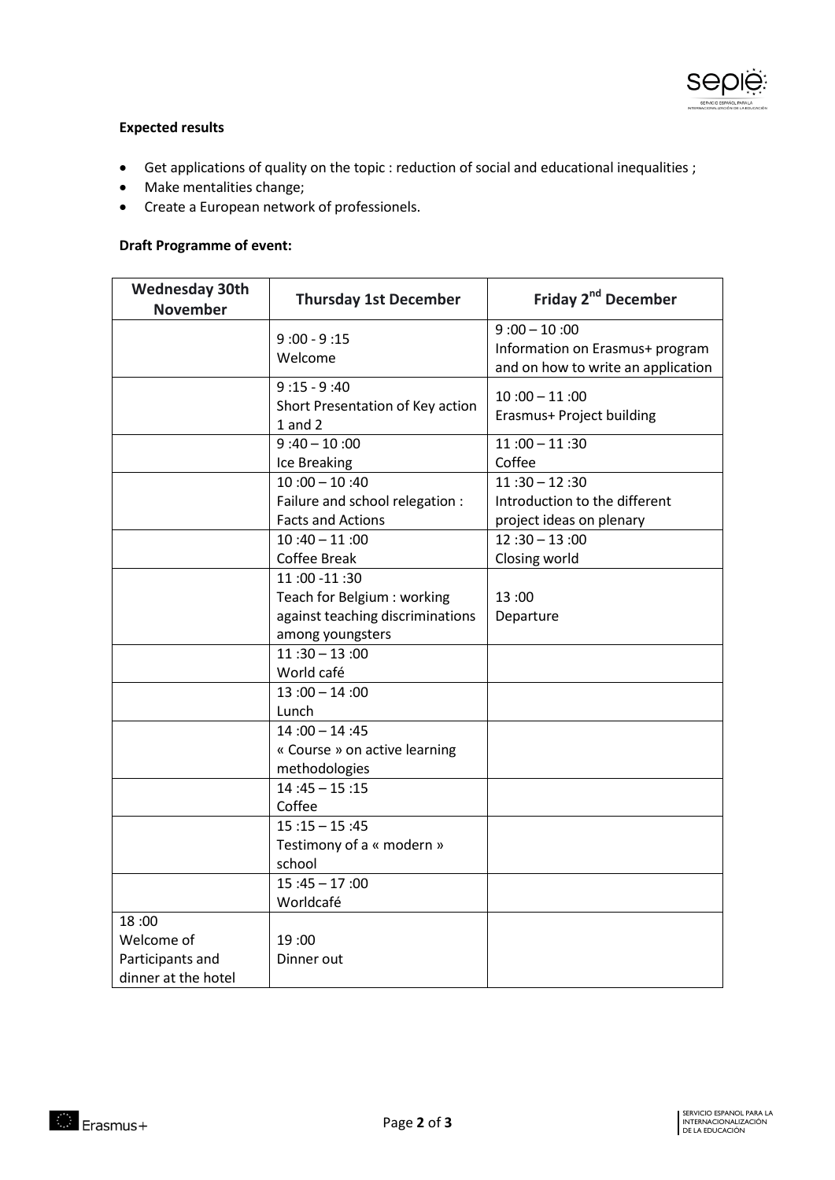

## **Expected results**

- Get applications of quality on the topic : reduction of social and educational inequalities ;
- Make mentalities change;
- Create a European network of professionels.

# **Draft Programme of event:**

| <b>Wednesday 30th</b><br><b>November</b> | <b>Thursday 1st December</b>     | Friday 2 <sup>nd</sup> December    |
|------------------------------------------|----------------------------------|------------------------------------|
|                                          | $9:00 - 9:15$                    | $9:00 - 10:00$                     |
|                                          | Welcome                          | Information on Erasmus+ program    |
|                                          |                                  | and on how to write an application |
|                                          | $9:15 - 9:40$                    | $10:00 - 11:00$                    |
|                                          | Short Presentation of Key action | Erasmus+ Project building          |
|                                          | $1$ and $2$                      |                                    |
|                                          | $9:40 - 10:00$                   | $11:00 - 11:30$                    |
|                                          | Ice Breaking                     | Coffee                             |
|                                          | $10:00 - 10:40$                  | $11:30 - 12:30$                    |
|                                          | Failure and school relegation :  | Introduction to the different      |
|                                          | <b>Facts and Actions</b>         | project ideas on plenary           |
|                                          | $10:40 - 11:00$                  | $12:30 - 13:00$                    |
|                                          | <b>Coffee Break</b>              | Closing world                      |
|                                          | 11:00 -11:30                     |                                    |
|                                          | Teach for Belgium : working      | 13:00                              |
|                                          | against teaching discriminations | Departure                          |
|                                          | among youngsters                 |                                    |
|                                          | $11:30 - 13:00$                  |                                    |
|                                          | World café                       |                                    |
|                                          | $13:00 - 14:00$                  |                                    |
|                                          | Lunch                            |                                    |
|                                          | $14:00 - 14:45$                  |                                    |
|                                          | « Course » on active learning    |                                    |
|                                          | methodologies                    |                                    |
|                                          | $14:45 - 15:15$                  |                                    |
|                                          | Coffee                           |                                    |
|                                          | $15:15 - 15:45$                  |                                    |
|                                          | Testimony of a « modern »        |                                    |
|                                          | school                           |                                    |
|                                          | $15:45 - 17:00$                  |                                    |
|                                          | Worldcafé                        |                                    |
| 18:00                                    |                                  |                                    |
| Welcome of                               | 19:00                            |                                    |
| Participants and                         | Dinner out                       |                                    |
| dinner at the hotel                      |                                  |                                    |